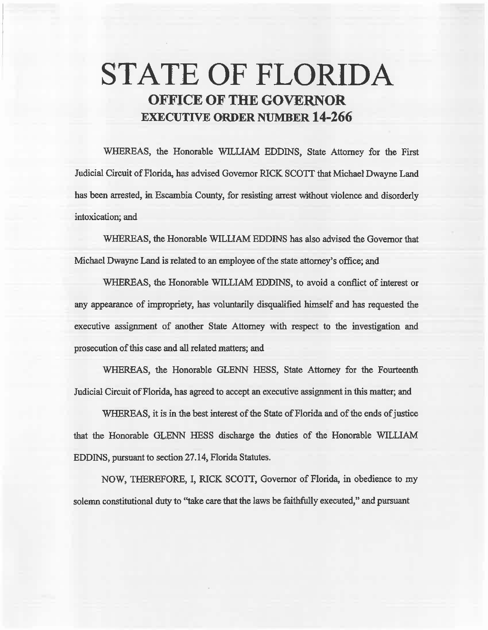# STATE OF FLORIDA OFFICE OF THE GOVERNOR EXECUTIVE ORDER NUMBER 14-266

WHEREAS, the Honorable WILLIAM EDDINS, State Attorney for the First Judicial Circuit of Florida, has advised Governor RICK SCOTT that Michael Dwayne Land has been arrested, in Escambia County, for resisting arrest without violence and disorderly intoxication; and

WHEREAS, the Honorable WILLIAM EDDINS has also advised the Governor that Michael Dwayne Land is related to an employee of the state attorney's office; and

WHEREAS, the Honorable WILLIAM EDDINS, to avoid a conflict of interest or any appearance of impropriety, has voluntarily disqualified himself and has requested the executive assignment of another State Attorney with respect to the investigation and prosecution of this case and all related matters; and

WHEREAS, the Honorable GLENN HESS, State Attorney for the Fourteenth Judicial Circuit of Florida, has agreed to accept an executive assignment in this matter; and

WHEREAS, it is in the best interest of the State of Florida and of the ends of justice that the Honorable GLENN HESS discharge the duties of the Honorable WILLIAM EDDINS, pursuant to section 27.14, Florida Statutes.

NOW, THEREFORE, I, RICK SCOTT, Governor of Florida, in obedience to my solemn constitutional duty to "take care that the laws be faithfully executed," and pursuant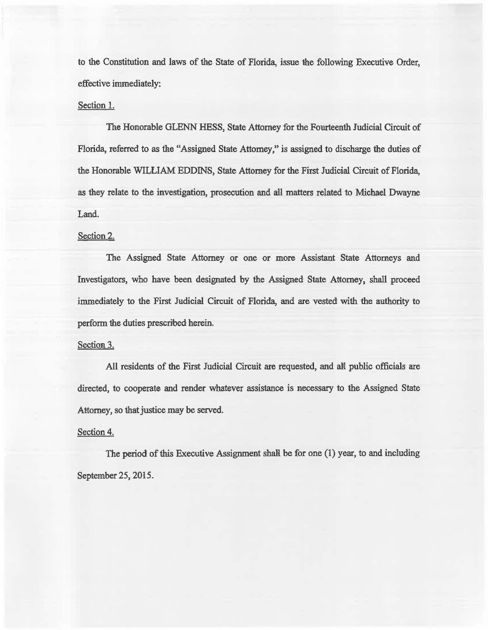to the Constitution and laws of the State of Florida, issue the following Executive Order, effective immediately:

## Section 1.

The Honorable GLENN HESS, State Attorney for the Fourteenth Judicial Circuit of Florida, referred to as the "Assigned State Attorney," is assigned to discharge the duties of the Honorable WILLIAM EDDINS, State Attorney for the First Judicial Circait of Florida, as they relate to the investigation, prosecution and aU matters related to Michael Dwayne Land.

# Section 2.

The Assigned State Attorney or one or more Assistant State Attorneys and Investigators, who have been designated by the Assigned State Attorney, shall proceed immediately to the First Judicial Circuit of Florida, and are vested with the authority to perform the duties prescribed herein.

#### Section 3.

All residents of the First Judicial Circuit are requested, and all public officials are directed, to cooperate and render whatever assistance is necessary to the Assigned State Attorney, so that justice may be served.

### Section 4.

The period of this Executive Assignment shall be for one (1) year, to and including September 25, 2015.